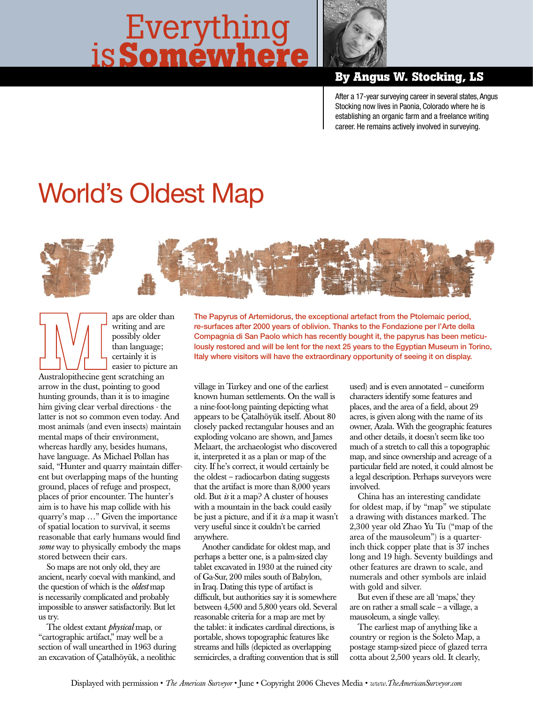## is**Somewhere** Everything



## **By Angus W. Stocking, LS**

After a 17-year surveying career in several states, Angus Stocking now lives in Paonia, Colorado where he is establishing an organic farm and a freelance writing career. He remains actively involved in surveying.

## World's Oldest Map



aps are older than writing and are possibly older than language; certainly it is easier to picture an

Australopithecine gent scratching an arrow in the dust, pointing to good hunting grounds, than it is to imagine him giving clear verbal directions - the latter is not so common even today. And most animals (and even insects) maintain mental maps of their environment, whereas hardly any, besides humans, have language. As Michael Pollan has said, "Hunter and quarry maintain different but overlapping maps of the hunting ground, places of refuge and prospect, places of prior encounter. The hunter's aim is to have his map collide with his quarry's map …" Given the importance of spatial location to survival, it seems reasonable that early humans would find *some* way to physically embody the maps stored between their ears.

So maps are not only old, they are ancient, nearly coeval with mankind, and the question of which is the *oldest* map is necessarily complicated and probably impossible to answer satisfactorily. But let us try.

The oldest extant *physical* map, or "cartographic artifact," may well be a section of wall unearthed in 1963 during an excavation of Çatalhöyük, a neolithic

The Papyrus of Artemidorus, the exceptional artefact from the Ptolemaic period, re-surfaces after 2000 years of oblivion. Thanks to the Fondazione per l'Arte della Compagnia di San Paolo which has recently bought it, the papyrus has been meticulously restored and will be lent for the next 25 years to the Egyptian Museum in Torino, Italy where visitors will have the extraordinary opportunity of seeing it on display.

village in Turkey and one of the earliest known human settlements. On the wall is a nine-foot-long painting depicting what appears to be Çatalhöyük itself. About 80 closely packed rectangular houses and an exploding volcano are shown, and James Melaart, the archaeologist who discovered it, interpreted it as a plan or map of the city. If he's correct, it would certainly be the oldest – radiocarbon dating suggests that the artifact is more than 8,000 years old. But *is* it a map? A cluster of houses with a mountain in the back could easily be just a picture, and if it *is* a map it wasn't very useful since it couldn't be carried anywhere.

Another candidate for oldest map, and perhaps a better one, is a palm-sized clay tablet excavated in 1930 at the ruined city of Ga-Sur, 200 miles south of Babylon, in Iraq. Dating this type of artifact is difficult, but authorities say it is somewhere between 4,500 and 5,800 years old. Several reasonable criteria for a map are met by the tablet: it indicates cardinal directions, is portable, shows topographic features like streams and hills (depicted as overlapping semicircles, a drafting convention that is still used) and is even annotated – cuneiform characters identify some features and places, and the area of a field, about 29 acres, is given along with the name of its owner, Azala. With the geographic features and other details, it doesn't seem like too much of a stretch to call this a topographic map, and since ownership and acreage of a particular field are noted, it could almost be a legal description. Perhaps surveyors were involved.

China has an interesting candidate for oldest map, if by "map" we stipulate a drawing with distances marked. The 2,300 year old Zhao Yu Tu ("map of the area of the mausoleum") is a quarterinch thick copper plate that is 37 inches long and 19 high. Seventy buildings and other features are drawn to scale, and numerals and other symbols are inlaid with gold and silver.

But even if these are all 'maps,' they are on rather a small scale – a village, a mausoleum, a single valley.

The earliest map of anything like a country or region is the Soleto Map, a postage stamp-sized piece of glazed terra cotta about 2,500 years old. It clearly,